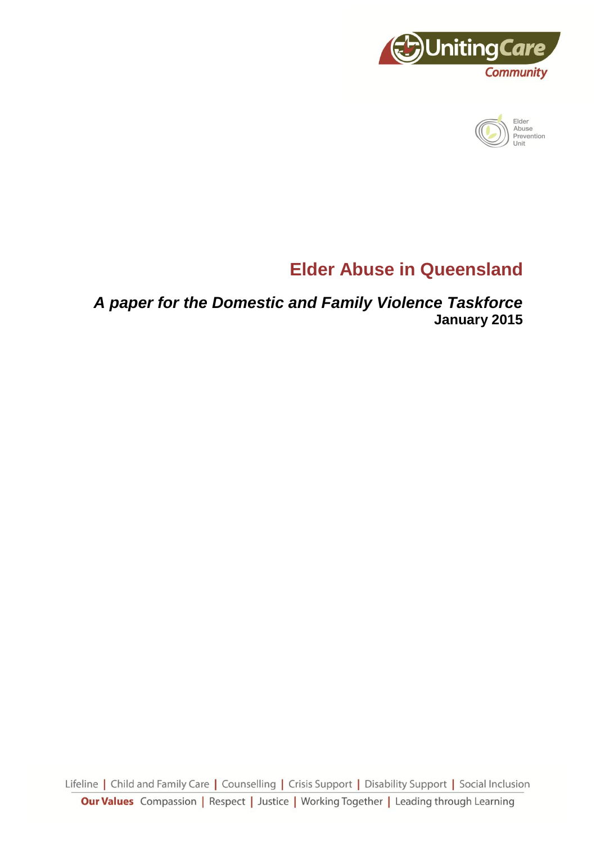



# **Elder Abuse in Queensland**

*A paper for the Domestic and Family Violence Taskforce* **January 2015**

Lifeline | Child and Family Care | Counselling | Crisis Support | Disability Support | Social Inclusion **Our Values** Compassion | Respect | Justice | Working Together | Leading through Learning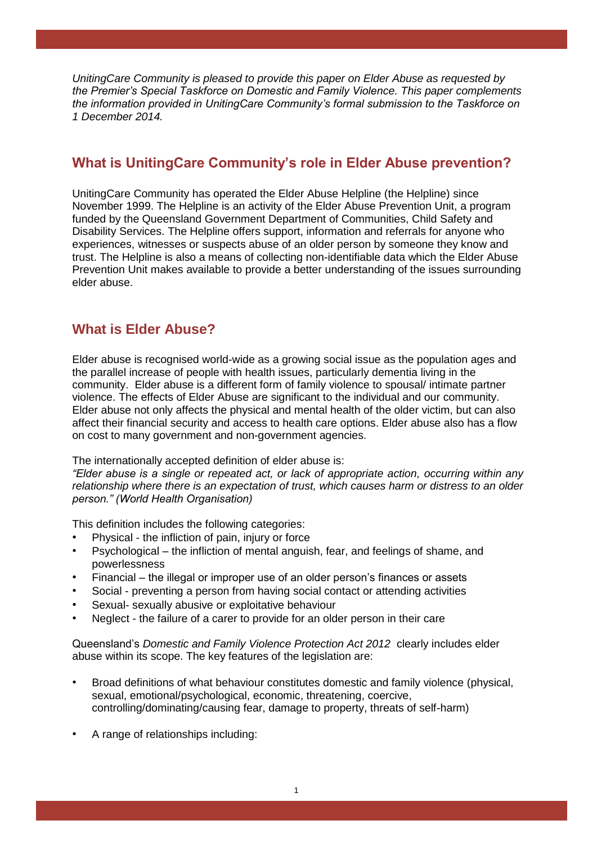*UnitingCare Community is pleased to provide this paper on Elder Abuse as requested by the Premier's Special Taskforce on Domestic and Family Violence. This paper complements the information provided in UnitingCare Community's formal submission to the Taskforce on 1 December 2014.*

# **What is UnitingCare Community's role in Elder Abuse prevention?**

UnitingCare Community has operated the Elder Abuse Helpline (the Helpline) since November 1999. The Helpline is an activity of the Elder Abuse Prevention Unit, a program funded by the Queensland Government Department of Communities, Child Safety and Disability Services. The Helpline offers support, information and referrals for anyone who experiences, witnesses or suspects abuse of an older person by someone they know and trust. The Helpline is also a means of collecting non-identifiable data which the Elder Abuse Prevention Unit makes available to provide a better understanding of the issues surrounding elder abuse.

# **What is Elder Abuse?**

Elder abuse is recognised world-wide as a growing social issue as the population ages and the parallel increase of people with health issues, particularly dementia living in the community. Elder abuse is a different form of family violence to spousal/ intimate partner violence. The effects of Elder Abuse are significant to the individual and our community. Elder abuse not only affects the physical and mental health of the older victim, but can also affect their financial security and access to health care options. Elder abuse also has a flow on cost to many government and non-government agencies.

The internationally accepted definition of elder abuse is:

*"Elder abuse is a single or repeated act, or lack of appropriate action, occurring within any relationship where there is an expectation of trust, which causes harm or distress to an older person." (World Health Organisation)*

This definition includes the following categories:

- Physical the infliction of pain, injury or force
- Psychological the infliction of mental anguish, fear, and feelings of shame, and powerlessness
- Financial the illegal or improper use of an older person's finances or assets
- Social preventing a person from having social contact or attending activities
- Sexual- sexually abusive or exploitative behaviour
- Neglect the failure of a carer to provide for an older person in their care

Queensland's *Domestic and Family Violence Protection Act 2012* clearly includes elder abuse within its scope. The key features of the legislation are:

- Broad definitions of what behaviour constitutes domestic and family violence (physical, sexual, emotional/psychological, economic, threatening, coercive, controlling/dominating/causing fear, damage to property, threats of self-harm)
- A range of relationships including: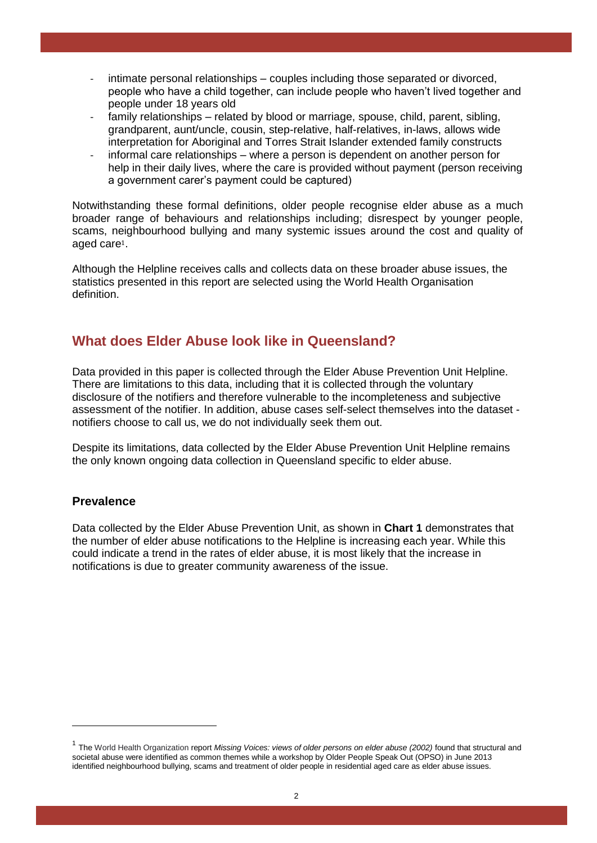- intimate personal relationships couples including those separated or divorced, people who have a child together, can include people who haven't lived together and people under 18 years old
- family relationships related by blood or marriage, spouse, child, parent, sibling, grandparent, aunt/uncle, cousin, step-relative, half-relatives, in-laws, allows wide interpretation for Aboriginal and Torres Strait Islander extended family constructs
- informal care relationships where a person is dependent on another person for help in their daily lives, where the care is provided without payment (person receiving a government carer's payment could be captured)

Notwithstanding these formal definitions, older people recognise elder abuse as a much broader range of behaviours and relationships including; disrespect by younger people, scams, neighbourhood bullying and many systemic issues around the cost and quality of aged care1.

Although the Helpline receives calls and collects data on these broader abuse issues, the statistics presented in this report are selected using the World Health Organisation definition.

# **What does Elder Abuse look like in Queensland?**

Data provided in this paper is collected through the Elder Abuse Prevention Unit Helpline. There are limitations to this data, including that it is collected through the voluntary disclosure of the notifiers and therefore vulnerable to the incompleteness and subjective assessment of the notifier. In addition, abuse cases self-select themselves into the dataset notifiers choose to call us, we do not individually seek them out.

Despite its limitations, data collected by the Elder Abuse Prevention Unit Helpline remains the only known ongoing data collection in Queensland specific to elder abuse.

## **Prevalence**

<u>.</u>

Data collected by the Elder Abuse Prevention Unit, as shown in **Chart 1** demonstrates that the number of elder abuse notifications to the Helpline is increasing each year. While this could indicate a trend in the rates of elder abuse, it is most likely that the increase in notifications is due to greater community awareness of the issue.

<sup>&</sup>lt;sup>1</sup> The World Health Organization report Missing Voices: views of older persons on elder abuse (2002) found that structural and societal abuse were identified as common themes while a workshop by Older People Speak Out (OPSO) in June 2013 identified neighbourhood bullying, scams and treatment of older people in residential aged care as elder abuse issues.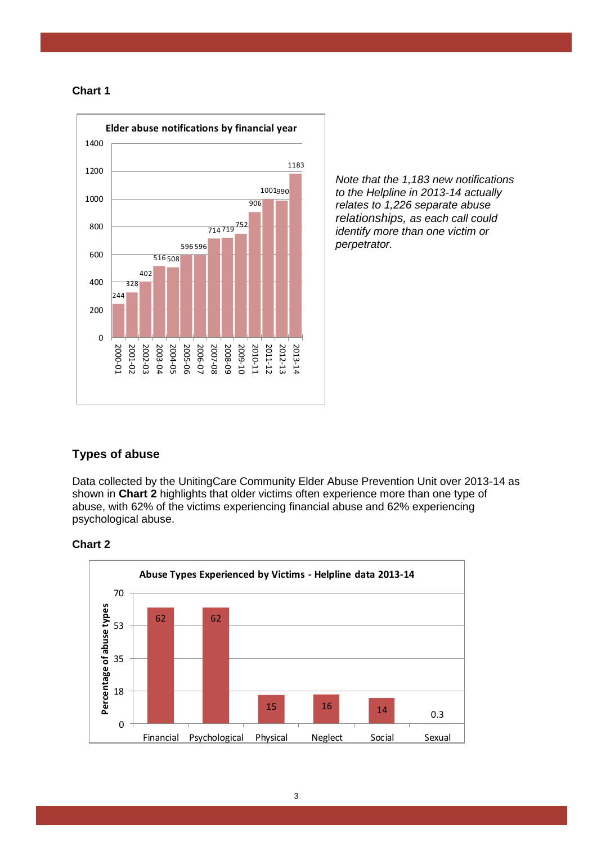



*Note that the 1,183 new notifications to the Helpline in 2013-14 actually relates to 1,226 separate abuse relationships, as each call could identify more than one victim or perpetrator.*

## **Types of abuse**

Data collected by the UnitingCare Community Elder Abuse Prevention Unit over 2013-14 as shown in **Chart 2** highlights that older victims often experience more than one type of abuse, with 62% of the victims experiencing financial abuse and 62% experiencing psychological abuse.



#### **Chart 2**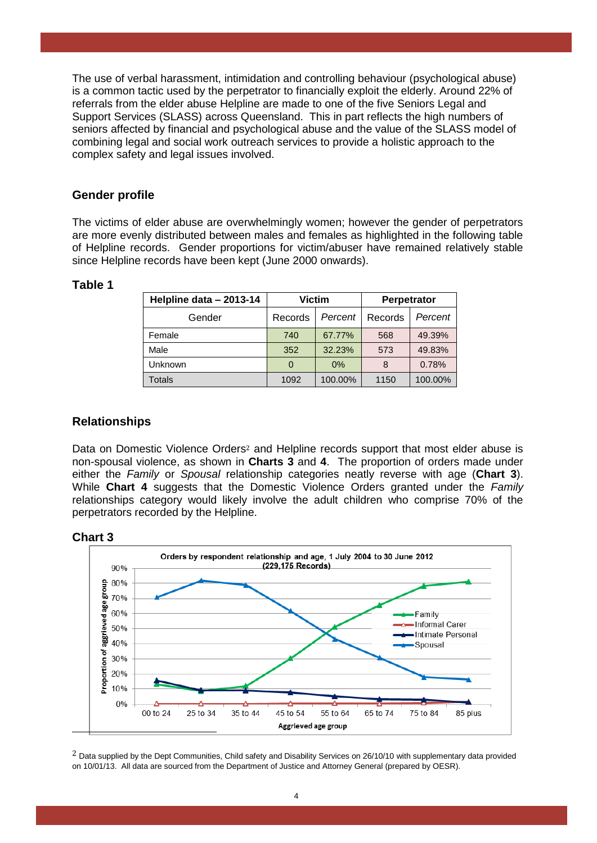The use of verbal harassment, intimidation and controlling behaviour (psychological abuse) is a common tactic used by the perpetrator to financially exploit the elderly. Around 22% of referrals from the elder abuse Helpline are made to one of the five Seniors Legal and Support Services (SLASS) across Queensland. This in part reflects the high numbers of seniors affected by financial and psychological abuse and the value of the SLASS model of combining legal and social work outreach services to provide a holistic approach to the complex safety and legal issues involved.

## **Gender profile**

The victims of elder abuse are overwhelmingly women; however the gender of perpetrators are more evenly distributed between males and females as highlighted in the following table of Helpline records. Gender proportions for victim/abuser have remained relatively stable since Helpline records have been kept (June 2000 onwards).

#### **Table 1**

| Helpline data - 2013-14 | <b>Victim</b> |         | Perpetrator |         |
|-------------------------|---------------|---------|-------------|---------|
| Gender                  | Records       | Percent | Records     | Percent |
| Female                  | 740           | 67.77%  | 568         | 49.39%  |
| Male                    | 352           | 32.23%  | 573         | 49.83%  |
| Unknown                 |               | 0%      | 8           | 0.78%   |
| <b>Totals</b>           | 1092          | 100.00% | 1150        | 100.00% |

## **Relationships**

Data on Domestic Violence Orders<sup>2</sup> and Helpline records support that most elder abuse is non-spousal violence, as shown in **Charts 3** and **4**. The proportion of orders made under either the *Family* or *Spousal* relationship categories neatly reverse with age (**Chart 3**). While **Chart 4** suggests that the Domestic Violence Orders granted under the *Family* relationships category would likely involve the adult children who comprise 70% of the perpetrators recorded by the Helpline.

#### **Chart 3**



 $<sup>2</sup>$  Data supplied by the Dept Communities, Child safety and Disability Services on 26/10/10 with supplementary data provided</sup> on 10/01/13. All data are sourced from the Department of Justice and Attorney General (prepared by OESR).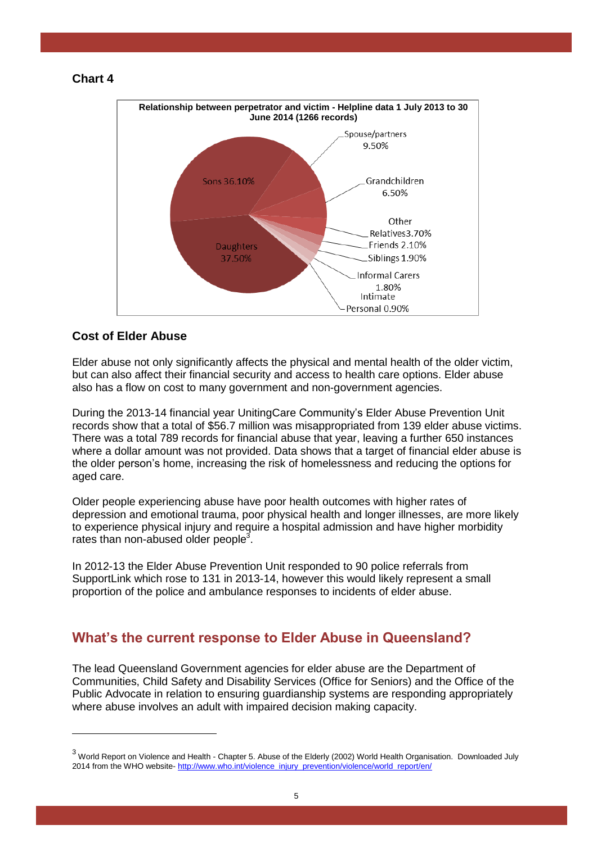#### **Chart 4**



## **Cost of Elder Abuse**

<u>.</u>

Elder abuse not only significantly affects the physical and mental health of the older victim, but can also affect their financial security and access to health care options. Elder abuse also has a flow on cost to many government and non-government agencies.

During the 2013-14 financial year UnitingCare Community's Elder Abuse Prevention Unit records show that a total of \$56.7 million was misappropriated from 139 elder abuse victims. There was a total 789 records for financial abuse that year, leaving a further 650 instances where a dollar amount was not provided. Data shows that a target of financial elder abuse is the older person's home, increasing the risk of homelessness and reducing the options for aged care.

Older people experiencing abuse have poor health outcomes with higher rates of depression and emotional trauma, poor physical health and longer illnesses, are more likely to experience physical injury and require a hospital admission and have higher morbidity rates than non-abused older people $3$ .

In 2012-13 the Elder Abuse Prevention Unit responded to 90 police referrals from SupportLink which rose to 131 in 2013-14, however this would likely represent a small proportion of the police and ambulance responses to incidents of elder abuse.

# **What's the current response to Elder Abuse in Queensland?**

The lead Queensland Government agencies for elder abuse are the Department of Communities, Child Safety and Disability Services (Office for Seniors) and the Office of the Public Advocate in relation to ensuring guardianship systems are responding appropriately where abuse involves an adult with impaired decision making capacity.

<sup>3</sup> World Report on Violence and Health - Chapter 5. Abuse of the Elderly (2002) World Health Organisation. Downloaded July 2014 from the WHO website- [http://www.who.int/violence\\_injury\\_prevention/violence/world\\_report/en/](http://www.who.int/violence_injury_prevention/violence/world_report/en/)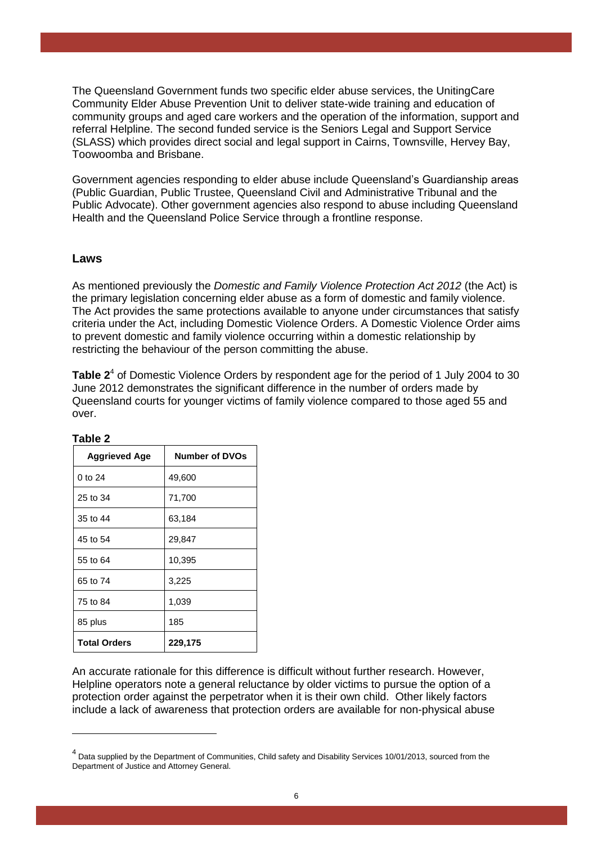The Queensland Government funds two specific elder abuse services, the UnitingCare Community Elder Abuse Prevention Unit to deliver state-wide training and education of community groups and aged care workers and the operation of the information, support and referral Helpline. The second funded service is the Seniors Legal and Support Service (SLASS) which provides direct social and legal support in Cairns, Townsville, Hervey Bay, Toowoomba and Brisbane.

Government agencies responding to elder abuse include Queensland's Guardianship areas (Public Guardian, Public Trustee, Queensland Civil and Administrative Tribunal and the Public Advocate). Other government agencies also respond to abuse including Queensland Health and the Queensland Police Service through a frontline response.

#### **Laws**

As mentioned previously the *Domestic and Family Violence Protection Act 2012* (the Act) is the primary legislation concerning elder abuse as a form of domestic and family violence. The Act provides the same protections available to anyone under circumstances that satisfy criteria under the Act, including Domestic Violence Orders. A Domestic Violence Order aims to prevent domestic and family violence occurring within a domestic relationship by restricting the behaviour of the person committing the abuse.

Table 2<sup>4</sup> of Domestic Violence Orders by respondent age for the period of 1 July 2004 to 30 June 2012 demonstrates the significant difference in the number of orders made by Queensland courts for younger victims of family violence compared to those aged 55 and over.

| <b>Aggrieved Age</b> | <b>Number of DVOs</b> |  |
|----------------------|-----------------------|--|
| 0 to 24              | 49,600                |  |
| 25 to 34             | 71,700                |  |
| 35 to 44             | 63,184                |  |
| 45 to 54             | 29,847                |  |
| 55 to 64             | 10,395                |  |
| 65 to 74             | 3,225                 |  |
| 75 to 84             | 1,039                 |  |
| 85 plus              | 185                   |  |
| <b>Total Orders</b>  | 229,175               |  |

**Table 2**

<u>.</u>

An accurate rationale for this difference is difficult without further research. However, Helpline operators note a general reluctance by older victims to pursue the option of a protection order against the perpetrator when it is their own child. Other likely factors include a lack of awareness that protection orders are available for non-physical abuse

<sup>&</sup>lt;sup>4</sup> Data supplied by the Department of Communities, Child safety and Disability Services 10/01/2013, sourced from the Department of Justice and Attorney General.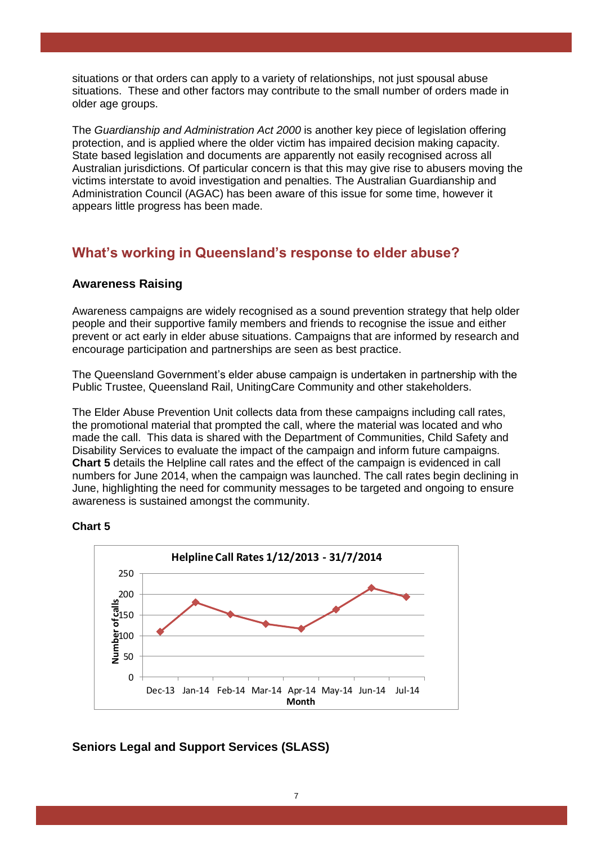situations or that orders can apply to a variety of relationships, not just spousal abuse situations. These and other factors may contribute to the small number of orders made in older age groups.

The *Guardianship and Administration Act 2000* is another key piece of legislation offering protection, and is applied where the older victim has impaired decision making capacity. State based legislation and documents are apparently not easily recognised across all Australian jurisdictions. Of particular concern is that this may give rise to abusers moving the victims interstate to avoid investigation and penalties. The Australian Guardianship and Administration Council (AGAC) has been aware of this issue for some time, however it appears little progress has been made.

# **What's working in Queensland's response to elder abuse?**

#### **Awareness Raising**

Awareness campaigns are widely recognised as a sound prevention strategy that help older people and their supportive family members and friends to recognise the issue and either prevent or act early in elder abuse situations. Campaigns that are informed by research and encourage participation and partnerships are seen as best practice.

The Queensland Government's elder abuse campaign is undertaken in partnership with the Public Trustee, Queensland Rail, UnitingCare Community and other stakeholders.

The Elder Abuse Prevention Unit collects data from these campaigns including call rates, the promotional material that prompted the call, where the material was located and who made the call. This data is shared with the Department of Communities, Child Safety and Disability Services to evaluate the impact of the campaign and inform future campaigns. **Chart 5** details the Helpline call rates and the effect of the campaign is evidenced in call numbers for June 2014, when the campaign was launched. The call rates begin declining in June, highlighting the need for community messages to be targeted and ongoing to ensure awareness is sustained amongst the community.





#### **Seniors Legal and Support Services (SLASS)**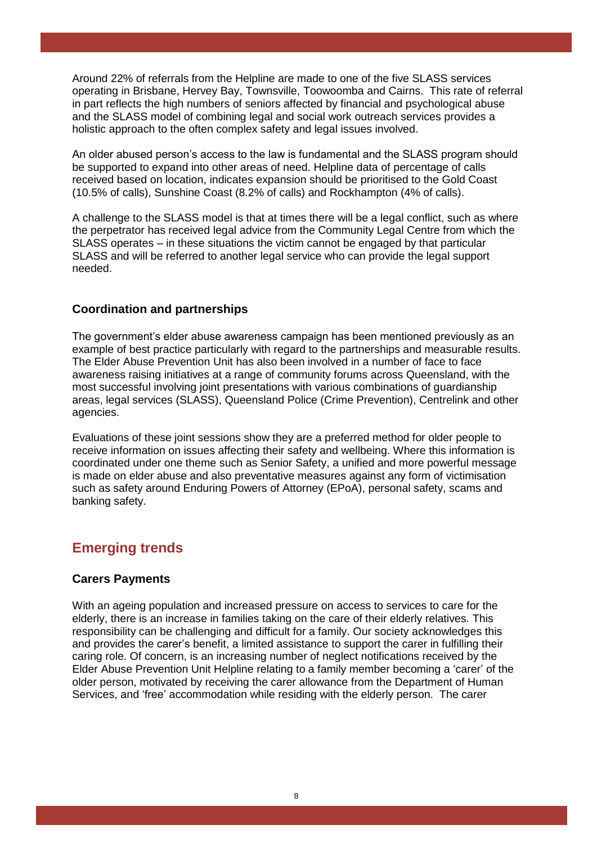Around 22% of referrals from the Helpline are made to one of the five SLASS services operating in Brisbane, Hervey Bay, Townsville, Toowoomba and Cairns. This rate of referral in part reflects the high numbers of seniors affected by financial and psychological abuse and the SLASS model of combining legal and social work outreach services provides a holistic approach to the often complex safety and legal issues involved.

An older abused person's access to the law is fundamental and the SLASS program should be supported to expand into other areas of need. Helpline data of percentage of calls received based on location, indicates expansion should be prioritised to the Gold Coast (10.5% of calls), Sunshine Coast (8.2% of calls) and Rockhampton (4% of calls).

A challenge to the SLASS model is that at times there will be a legal conflict, such as where the perpetrator has received legal advice from the Community Legal Centre from which the SLASS operates – in these situations the victim cannot be engaged by that particular SLASS and will be referred to another legal service who can provide the legal support needed.

#### **Coordination and partnerships**

The government's elder abuse awareness campaign has been mentioned previously as an example of best practice particularly with regard to the partnerships and measurable results. The Elder Abuse Prevention Unit has also been involved in a number of face to face awareness raising initiatives at a range of community forums across Queensland, with the most successful involving joint presentations with various combinations of guardianship areas, legal services (SLASS), Queensland Police (Crime Prevention), Centrelink and other agencies.

Evaluations of these joint sessions show they are a preferred method for older people to receive information on issues affecting their safety and wellbeing. Where this information is coordinated under one theme such as Senior Safety, a unified and more powerful message is made on elder abuse and also preventative measures against any form of victimisation such as safety around Enduring Powers of Attorney (EPoA), personal safety, scams and banking safety.

# **Emerging trends**

#### **Carers Payments**

With an ageing population and increased pressure on access to services to care for the elderly, there is an increase in families taking on the care of their elderly relatives. This responsibility can be challenging and difficult for a family. Our society acknowledges this and provides the carer's benefit, a limited assistance to support the carer in fulfilling their caring role. Of concern, is an increasing number of neglect notifications received by the Elder Abuse Prevention Unit Helpline relating to a family member becoming a 'carer' of the older person, motivated by receiving the carer allowance from the Department of Human Services, and 'free' accommodation while residing with the elderly person. The carer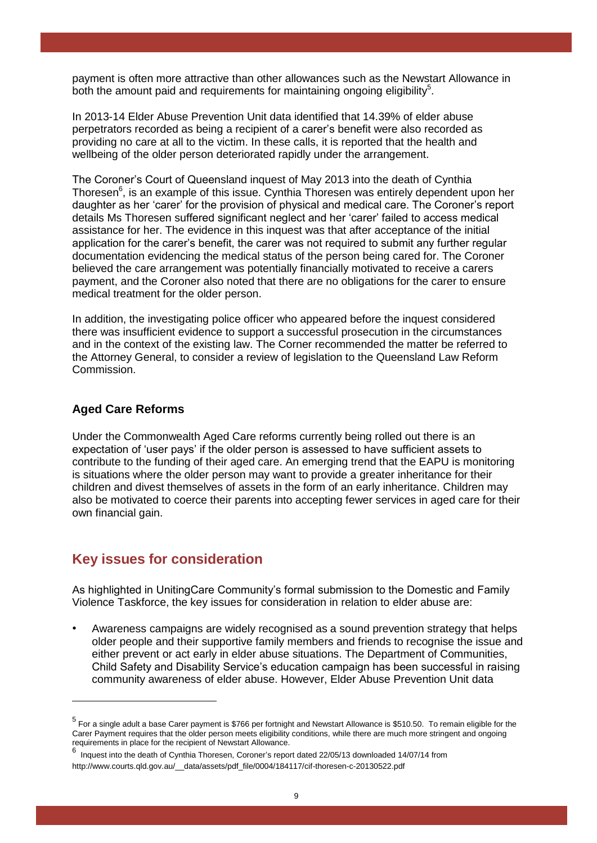payment is often more attractive than other allowances such as the Newstart Allowance in both the amount paid and requirements for maintaining ongoing eligibility $5$ .

In 2013-14 Elder Abuse Prevention Unit data identified that 14.39% of elder abuse perpetrators recorded as being a recipient of a carer's benefit were also recorded as providing no care at all to the victim. In these calls, it is reported that the health and wellbeing of the older person deteriorated rapidly under the arrangement.

The Coroner's Court of Queensland inquest of May 2013 into the death of Cynthia Thoresen<sup>6</sup>, is an example of this issue. Cynthia Thoresen was entirely dependent upon her daughter as her 'carer' for the provision of physical and medical care. The Coroner's report details Ms Thoresen suffered significant neglect and her 'carer' failed to access medical assistance for her. The evidence in this inquest was that after acceptance of the initial application for the carer's benefit, the carer was not required to submit any further regular documentation evidencing the medical status of the person being cared for. The Coroner believed the care arrangement was potentially financially motivated to receive a carers payment, and the Coroner also noted that there are no obligations for the carer to ensure medical treatment for the older person.

In addition, the investigating police officer who appeared before the inquest considered there was insufficient evidence to support a successful prosecution in the circumstances and in the context of the existing law. The Corner recommended the matter be referred to the Attorney General, to consider a review of legislation to the Queensland Law Reform Commission.

#### **Aged Care Reforms**

<u>.</u>

Under the Commonwealth Aged Care reforms currently being rolled out there is an expectation of 'user pays' if the older person is assessed to have sufficient assets to contribute to the funding of their aged care. An emerging trend that the EAPU is monitoring is situations where the older person may want to provide a greater inheritance for their children and divest themselves of assets in the form of an early inheritance. Children may also be motivated to coerce their parents into accepting fewer services in aged care for their own financial gain.

## **Key issues for consideration**

As highlighted in UnitingCare Community's formal submission to the Domestic and Family Violence Taskforce, the key issues for consideration in relation to elder abuse are:

• Awareness campaigns are widely recognised as a sound prevention strategy that helps older people and their supportive family members and friends to recognise the issue and either prevent or act early in elder abuse situations. The Department of Communities, Child Safety and Disability Service's education campaign has been successful in raising community awareness of elder abuse. However, Elder Abuse Prevention Unit data

<sup>5</sup> For a single adult a base Carer payment is \$766 per fortnight and Newstart Allowance is \$510.50. To remain eligible for the Carer Payment requires that the older person meets eligibility conditions, while there are much more stringent and ongoing requirements in place for the recipient of Newstart Allowance.

<sup>6</sup> Inquest into the death of Cynthia Thoresen, Coroner's report dated 22/05/13 downloaded 14/07/14 from [http://www.courts.qld.gov.au/\\_\\_data/assets/pdf\\_file/0004/184117/cif-thoresen-c-20130522.pdf](http://www.courts.qld.gov.au/__data/assets/pdf_file/0004/184117/cif-thoresen-c-20130522.pdf)